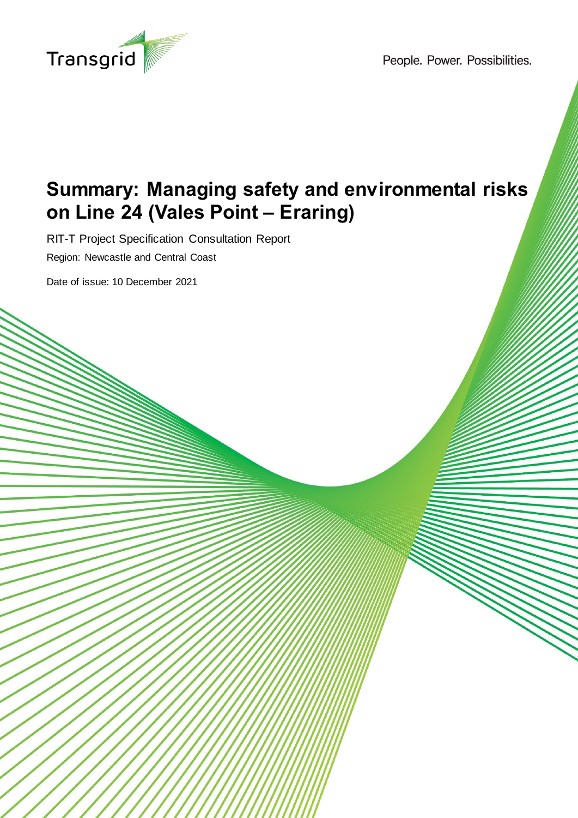

People. Power. Possibilities.

# **Summary: Managing safety and environmental risks on Line 24 (Vales Point – Eraring)**

RIT-T Project Specification Consultation Report Region: Newcastle and Central Coast

Date of issue: 10 December 2021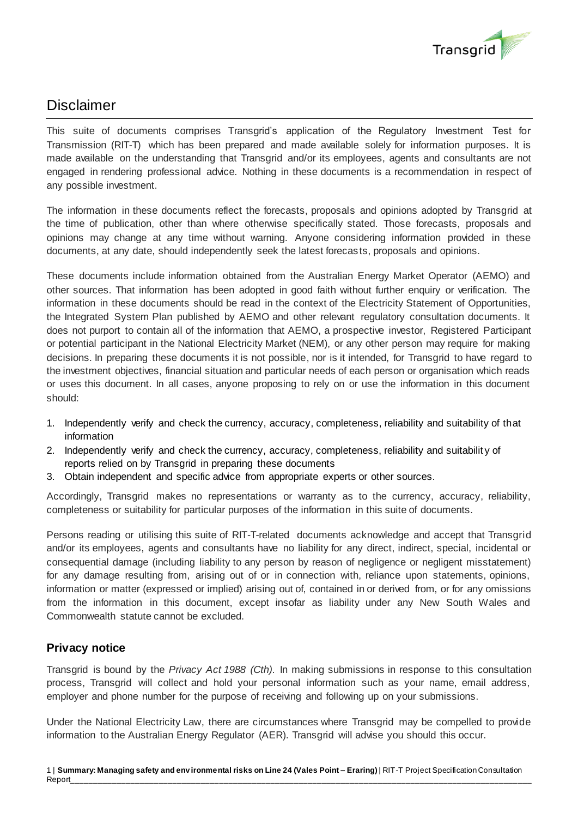

# Disclaimer

This suite of documents comprises Transgrid's application of the Regulatory Investment Test for Transmission (RIT-T) which has been prepared and made available solely for information purposes. It is made available on the understanding that Transgrid and/or its employees, agents and consultants are not engaged in rendering professional advice. Nothing in these documents is a recommendation in respect of any possible investment.

The information in these documents reflect the forecasts, proposals and opinions adopted by Transgrid at the time of publication, other than where otherwise specifically stated. Those forecasts, proposals and opinions may change at any time without warning. Anyone considering information provided in these documents, at any date, should independently seek the latest forecasts, proposals and opinions.

These documents include information obtained from the Australian Energy Market Operator (AEMO) and other sources. That information has been adopted in good faith without further enquiry or verification. The information in these documents should be read in the context of the Electricity Statement of Opportunities, the Integrated System Plan published by AEMO and other relevant regulatory consultation documents. It does not purport to contain all of the information that AEMO, a prospective investor, Registered Participant or potential participant in the National Electricity Market (NEM), or any other person may require for making decisions. In preparing these documents it is not possible, nor is it intended, for Transgrid to have regard to the investment objectives, financial situation and particular needs of each person or organisation which reads or uses this document. In all cases, anyone proposing to rely on or use the information in this document should:

- 1. Independently verify and check the currency, accuracy, completeness, reliability and suitability of that information
- 2. Independently verify and check the currency, accuracy, completeness, reliability and suitabilit y of reports relied on by Transgrid in preparing these documents
- 3. Obtain independent and specific advice from appropriate experts or other sources.

Accordingly, Transgrid makes no representations or warranty as to the currency, accuracy, reliability, completeness or suitability for particular purposes of the information in this suite of documents.

Persons reading or utilising this suite of RIT-T-related documents acknowledge and accept that Transgrid and/or its employees, agents and consultants have no liability for any direct, indirect, special, incidental or consequential damage (including liability to any person by reason of negligence or negligent misstatement) for any damage resulting from, arising out of or in connection with, reliance upon statements, opinions, information or matter (expressed or implied) arising out of, contained in or derived from, or for any omissions from the information in this document, except insofar as liability under any New South Wales and Commonwealth statute cannot be excluded.

## **Privacy notice**

Transgrid is bound by the *Privacy Act 1988 (Cth)*. In making submissions in response to this consultation process, Transgrid will collect and hold your personal information such as your name, email address, employer and phone number for the purpose of receiving and following up on your submissions.

Under the National Electricity Law, there are circumstances where Transgrid may be compelled to provide information to the Australian Energy Regulator (AER). Transgrid will advise you should this occur.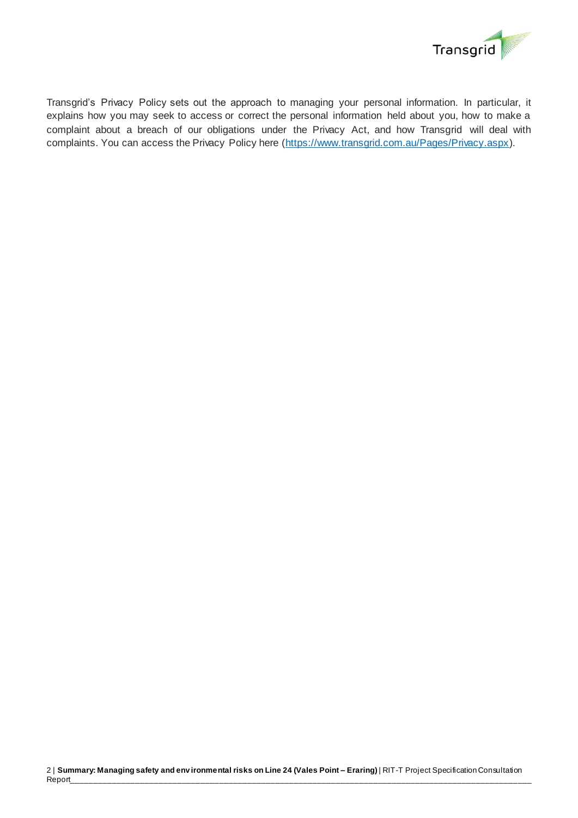

Transgrid's Privacy Policy sets out the approach to managing your personal information. In particular, it explains how you may seek to access or correct the personal information held about you, how to make a complaint about a breach of our obligations under the Privacy Act, and how Transgrid will deal with complaints. You can access the Privacy Policy here [\(https://www.transgrid.com.au/Pages/Privacy.aspx\)](https://www.transgrid.com.au/Pages/Privacy.aspx).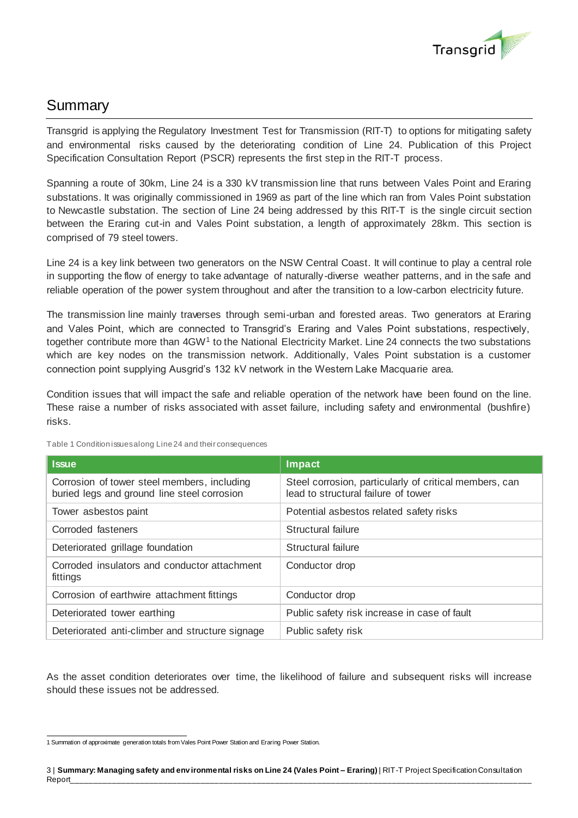

# Summary

Transgrid is applying the Regulatory Investment Test for Transmission (RIT-T) to options for mitigating safety and environmental risks caused by the deteriorating condition of Line 24. Publication of this Project Specification Consultation Report (PSCR) represents the first step in the RIT-T process.

Spanning a route of 30km, Line 24 is a 330 kV transmission line that runs between Vales Point and Eraring substations. It was originally commissioned in 1969 as part of the line which ran from Vales Point substation to Newcastle substation. The section of Line 24 being addressed by this RIT-T is the single circuit section between the Eraring cut-in and Vales Point substation, a length of approximately 28km. This section is comprised of 79 steel towers.

Line 24 is a key link between two generators on the NSW Central Coast. It will continue to play a central role in supporting the flow of energy to take advantage of naturally-diverse weather patterns, and in the safe and reliable operation of the power system throughout and after the transition to a low-carbon electricity future.

The transmission line mainly traverses through semi-urban and forested areas. Two generators at Eraring and Vales Point, which are connected to Transgrid's Eraring and Vales Point substations, respectively, together contribute more than 4GW<sup>1</sup> to the National Electricity Market. Line 24 connects the two substations which are key nodes on the transmission network. Additionally, Vales Point substation is a customer connection point supplying Ausgrid's 132 kV network in the Western Lake Macquarie area.

Condition issues that will impact the safe and reliable operation of the network have been found on the line. These raise a number of risks associated with asset failure, including safety and environmental (bushfire) risks.

| <b>Issue</b>                                                                               | Impact                                                                                        |
|--------------------------------------------------------------------------------------------|-----------------------------------------------------------------------------------------------|
| Corrosion of tower steel members, including<br>buried legs and ground line steel corrosion | Steel corrosion, particularly of critical members, can<br>lead to structural failure of tower |
| Tower asbestos paint                                                                       | Potential asbestos related safety risks                                                       |
| Corroded fasteners                                                                         | Structural failure                                                                            |
| Deteriorated grillage foundation                                                           | Structural failure                                                                            |
| Corroded insulators and conductor attachment<br>fittings                                   | Conductor drop                                                                                |
| Corrosion of earthwire attachment fittings                                                 | Conductor drop                                                                                |
| Deteriorated tower earthing                                                                | Public safety risk increase in case of fault                                                  |
| Deteriorated anti-climber and structure signage                                            | Public safety risk                                                                            |

Table 1 Condition issues along Line 24 and their consequences

As the asset condition deteriorates over time, the likelihood of failure and subsequent risks will increase should these issues not be addressed.

<sup>1</sup> Summation of approximate generation totals from Vales Point Power Station and Eraring Power Station.

<sup>3</sup> | **Summary: Managing safety and env ironmental risks on Line 24 (Vales Point – Eraring)** | RIT-T Project Specification Consultation Report\_\_\_\_\_\_\_\_\_\_\_\_\_\_\_\_\_\_\_\_\_\_\_\_\_\_\_\_\_\_\_\_\_\_\_\_\_\_\_\_\_\_\_\_\_\_\_\_\_\_\_\_\_\_\_\_\_\_\_\_\_\_\_\_\_\_\_\_\_\_\_\_\_\_\_\_\_\_\_\_\_\_\_\_\_\_\_\_\_\_\_\_\_\_\_\_\_\_\_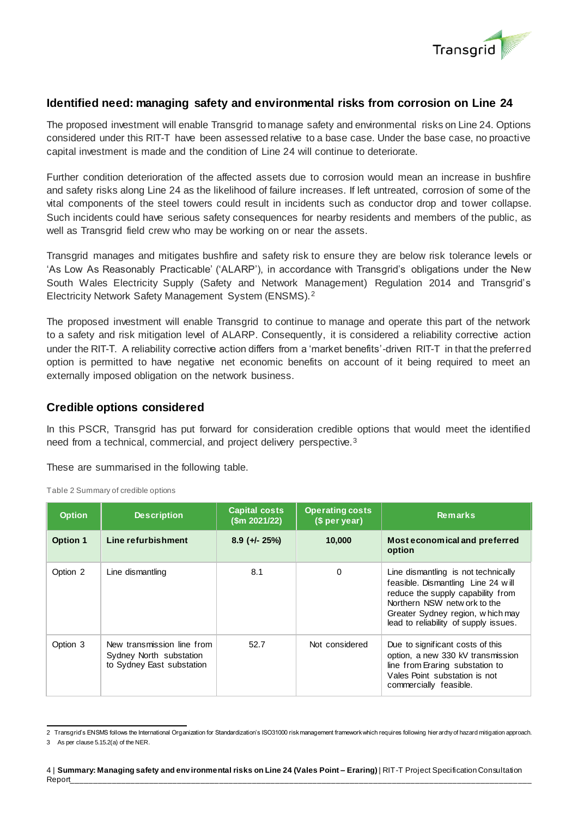

#### **Identified need: managing safety and environmental risks from corrosion on Line 24**

The proposed investment will enable Transgrid to manage safety and environmental risks on Line 24. Options considered under this RIT-T have been assessed relative to a base case. Under the base case, no proactive capital investment is made and the condition of Line 24 will continue to deteriorate.

Further condition deterioration of the affected assets due to corrosion would mean an increase in bushfire and safety risks along Line 24 as the likelihood of failure increases. If left untreated, corrosion of some of the vital components of the steel towers could result in incidents such as conductor drop and tower collapse. Such incidents could have serious safety consequences for nearby residents and members of the public, as well as Transgrid field crew who may be working on or near the assets.

Transgrid manages and mitigates bushfire and safety risk to ensure they are below risk tolerance levels or 'As Low As Reasonably Practicable' ('ALARP'), in accordance with Transgrid's obligations under the New South Wales Electricity Supply (Safety and Network Management) Regulation 2014 and Transgrid's Electricity Network Safety Management System (ENSMS).<sup>2</sup>

The proposed investment will enable Transgrid to continue to manage and operate this part of the network to a safety and risk mitigation level of ALARP. Consequently, it is considered a reliability corrective action under the RIT-T. A reliability corrective action differs from a 'market benefits'-driven RIT-T in that the preferred option is permitted to have negative net economic benefits on account of it being required to meet an externally imposed obligation on the network business.

#### **Credible options considered**

In this PSCR, Transgrid has put forward for consideration credible options that would meet the identified need from a technical, commercial, and project delivery perspective.<sup>3</sup>

These are summarised in the following table.

| <b>Option</b>   | <b>Description</b>                                                                 | <b>Capital costs</b><br>\$m 2021/22\$ | <b>Operating costs</b><br>(\$ per year) | <b>Remarks</b>                                                                                                                                                                                                              |
|-----------------|------------------------------------------------------------------------------------|---------------------------------------|-----------------------------------------|-----------------------------------------------------------------------------------------------------------------------------------------------------------------------------------------------------------------------------|
| <b>Option 1</b> | Line refurbishment                                                                 | $8.9$ (+/- 25%)                       | 10,000                                  | Most economical and preferred<br>option                                                                                                                                                                                     |
| Option 2        | Line dismantling                                                                   | 8.1                                   | $\Omega$                                | Line dismantling is not technically<br>feasible. Dismantling Line 24 will<br>reduce the supply capability from<br>Northern NSW netw ork to the<br>Greater Sydney region, which may<br>lead to reliability of supply issues. |
| Option 3        | New transmission line from<br>Sydney North substation<br>to Sydney East substation | 52.7                                  | Not considered                          | Due to significant costs of this<br>option, a new 330 kV transmission<br>line from Eraring substation to<br>Vales Point substation is not<br>commercially feasible.                                                         |

Table 2 Summary of credible options

 2 Transgrid's ENSMS follows the International Organization for Standardization's ISO31000 risk management framework which requires following hier archy of hazard mitigation approach.

<sup>3</sup> As per clause 5.15.2(a) of the NER.

<sup>4</sup> | **Summary: Managing safety and env ironmental risks on Line 24 (Vales Point – Eraring)** | RIT-T Project Specification Consultation Report\_\_\_\_\_\_\_\_\_\_\_\_\_\_\_\_\_\_\_\_\_\_\_\_\_\_\_\_\_\_\_\_\_\_\_\_\_\_\_\_\_\_\_\_\_\_\_\_\_\_\_\_\_\_\_\_\_\_\_\_\_\_\_\_\_\_\_\_\_\_\_\_\_\_\_\_\_\_\_\_\_\_\_\_\_\_\_\_\_\_\_\_\_\_\_\_\_\_\_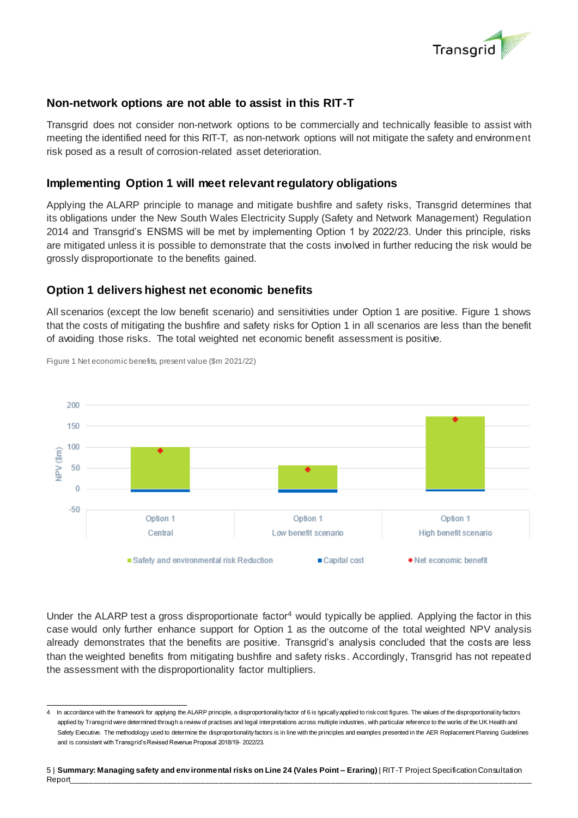

#### **Non-network options are not able to assist in this RIT-T**

Transgrid does not consider non-network options to be commercially and technically feasible to assist with meeting the identified need for this RIT-T, as non-network options will not mitigate the safety and environment risk posed as a result of corrosion-related asset deterioration.

#### **Implementing Option 1 will meet relevant regulatory obligations**

Applying the ALARP principle to manage and mitigate bushfire and safety risks, Transgrid determines that its obligations under the New South Wales Electricity Supply (Safety and Network Management) Regulation 2014 and Transgrid's ENSMS will be met by implementing Option 1 by 2022/23. Under this principle, risks are mitigated unless it is possible to demonstrate that the costs involved in further reducing the risk would be grossly disproportionate to the benefits gained.

#### **Option 1 delivers highest net economic benefits**

All scenarios (except the low benefit scenario) and sensitivities under Option 1 are positive. Figure 1 shows that the costs of mitigating the bushfire and safety risks for Option 1 in all scenarios are less than the benefit of avoiding those risks. The total weighted net economic benefit assessment is positive.



Figure 1 Net economic benefits, present value (\$m 2021/22)

Under the ALARP test a gross disproportionate factor<sup>4</sup> would typically be applied. Applying the factor in this case would only further enhance support for Option 1 as the outcome of the total weighted NPV analysis already demonstrates that the benefits are positive. Transgrid's analysis concluded that the costs are less than the weighted benefits from mitigating bushfire and safety risks. Accordingly, Transgrid has not repeated the assessment with the disproportionality factor multipliers.

5 | **Summary: Managing safety and env ironmental risks on Line 24 (Vales Point – Eraring)** | RIT-T Project Specification Consultation Report\_\_\_\_\_\_\_\_\_\_\_\_\_\_\_\_\_\_\_\_\_\_\_\_\_\_\_\_\_\_\_\_\_\_\_\_\_\_\_\_\_\_\_\_\_\_\_\_\_\_\_\_\_\_\_\_\_\_\_\_\_\_\_\_\_\_\_\_\_\_\_\_\_\_\_\_\_\_\_\_\_\_\_\_\_\_\_\_\_\_\_\_\_\_\_\_\_\_\_

 4 In accordance with the framework for applying the ALARP principle, a disproportionality factor of 6 is typically applied to risk cost figures. The values of the disproportional ity factors applied by Transgrid were determined through a review of practises and legal interpretations across multiple industries, with particular reference to the works of the UK Health and Safety Executive. The methodology used to determine the disproportionality factors is in line with the principles and examples presented in the AER Replacement Planning Guidelines and is consistent with Transgrid's Revised Revenue Proposal 2018/19- 2022/23.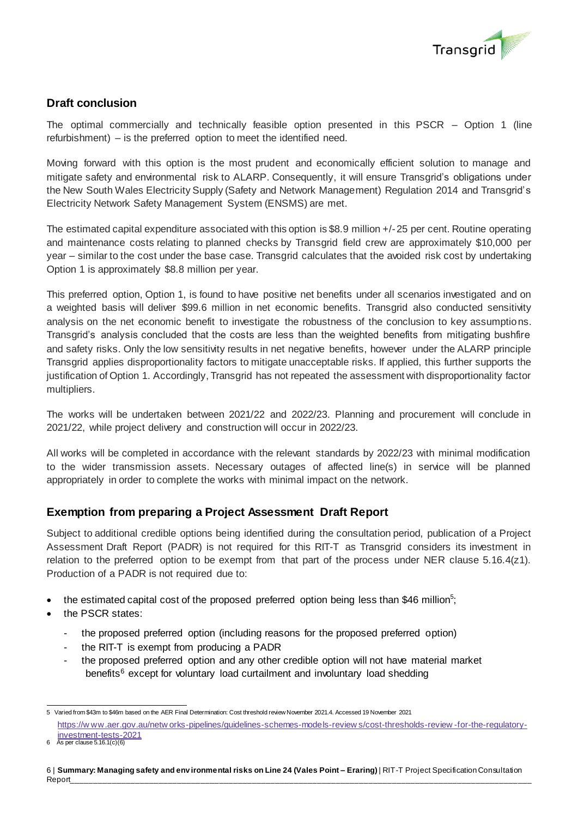

# **Draft conclusion**

The optimal commercially and technically feasible option presented in this PSCR – Option 1 (line refurbishment) – is the preferred option to meet the identified need.

Moving forward with this option is the most prudent and economically efficient solution to manage and mitigate safety and environmental risk to ALARP. Consequently, it will ensure Transgrid's obligations under the New South Wales Electricity Supply (Safety and Network Management) Regulation 2014 and Transgrid's Electricity Network Safety Management System (ENSMS) are met.

The estimated capital expenditure associated with this option is \$8.9 million +/-25 per cent. Routine operating and maintenance costs relating to planned checks by Transgrid field crew are approximately \$10,000 per year – similar to the cost under the base case. Transgrid calculates that the avoided risk cost by undertaking Option 1 is approximately \$8.8 million per year.

This preferred option, Option 1, is found to have positive net benefits under all scenarios investigated and on a weighted basis will deliver \$99.6 million in net economic benefits. Transgrid also conducted sensitivity analysis on the net economic benefit to investigate the robustness of the conclusion to key assumptions. Transgrid's analysis concluded that the costs are less than the weighted benefits from mitigating bushfire and safety risks. Only the low sensitivity results in net negative benefits, however under the ALARP principle Transgrid applies disproportionality factors to mitigate unacceptable risks. If applied, this further supports the justification of Option 1. Accordingly, Transgrid has not repeated the assessment with disproportionality factor multipliers.

The works will be undertaken between 2021/22 and 2022/23. Planning and procurement will conclude in 2021/22, while project delivery and construction will occur in 2022/23.

All works will be completed in accordance with the relevant standards by 2022/23 with minimal modification to the wider transmission assets. Necessary outages of affected line(s) in service will be planned appropriately in order to complete the works with minimal impact on the network.

## **Exemption from preparing a Project Assessment Draft Report**

Subject to additional credible options being identified during the consultation period, publication of a Project Assessment Draft Report (PADR) is not required for this RIT-T as Transgrid considers its investment in relation to the preferred option to be exempt from that part of the process under NER clause  $5.16.4(z1)$ . Production of a PADR is not required due to:

- $\bullet$  the estimated capital cost of the proposed preferred option being less than \$46 million<sup>5</sup>;
- the PSCR states:
	- the proposed preferred option (including reasons for the proposed preferred option)
	- the RIT-T is exempt from producing a PADR
	- the proposed preferred option and any other credible option will not have material market benefits<sup>6</sup> except for voluntary load curtailment and involuntary load shedding

 5 Varied from \$43m to \$46m based on the AER Final Determination: Cost threshold review November 2021.4. Accessed 19 November 2021 [https://w ww.aer.gov.au/netw orks-pipelines/guidelines-schemes-models-review s/cost-thresholds-review](https://www.aer.gov.au/networks-pipelines/guidelines-schemes-models-reviews/cost-thresholds-review-for-the-regulatory-investment-tests-2021) -for-the-regulatory[investment-tests-2021](https://www.aer.gov.au/networks-pipelines/guidelines-schemes-models-reviews/cost-thresholds-review-for-the-regulatory-investment-tests-2021)

<sup>6</sup> As per clause  $5.16.1(c)(6)$ 

<sup>6</sup> | **Summary: Managing safety and env ironmental risks on Line 24 (Vales Point – Eraring)** | RIT-T Project Specification Consultation Report\_\_\_\_\_\_\_\_\_\_\_\_\_\_\_\_\_\_\_\_\_\_\_\_\_\_\_\_\_\_\_\_\_\_\_\_\_\_\_\_\_\_\_\_\_\_\_\_\_\_\_\_\_\_\_\_\_\_\_\_\_\_\_\_\_\_\_\_\_\_\_\_\_\_\_\_\_\_\_\_\_\_\_\_\_\_\_\_\_\_\_\_\_\_\_\_\_\_\_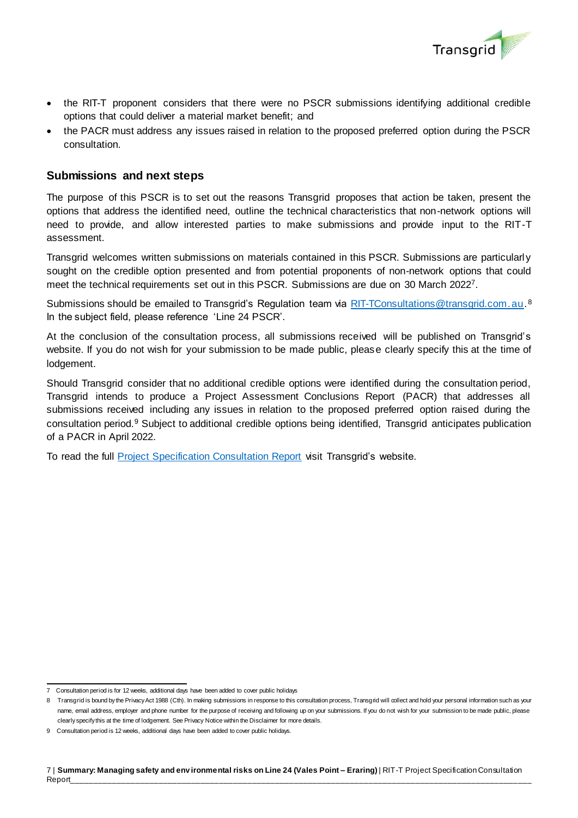

- the RIT-T proponent considers that there were no PSCR submissions identifying additional credible options that could deliver a material market benefit; and
- the PACR must address any issues raised in relation to the proposed preferred option during the PSCR consultation.

## **Submissions and next steps**

The purpose of this PSCR is to set out the reasons Transgrid proposes that action be taken, present the options that address the identified need, outline the technical characteristics that non-network options will need to provide, and allow interested parties to make submissions and provide input to the RIT-T assessment.

Transgrid welcomes written submissions on materials contained in this PSCR. Submissions are particularl y sought on the credible option presented and from potential proponents of non-network options that could meet the technical requirements set out in this PSCR. Submissions are due on 30 March 2022<sup>7</sup>.

Submissions should be emailed to Transgrid's Regulation team via **RIT-TConsultations@transgrid.com.au.<sup>8</sup>** In the subject field, please reference 'Line 24 PSCR'.

At the conclusion of the consultation process, all submissions received will be published on Transgrid's website. If you do not wish for your submission to be made public, please clearly specify this at the time of lodgement.

Should Transgrid consider that no additional credible options were identified during the consultation period, Transgrid intends to produce a Project Assessment Conclusions Report (PACR) that addresses all submissions received including any issues in relation to the proposed preferred option raised during the consultation period.<sup>9</sup> Subject to additional credible options being identified, Transgrid anticipates publication of a PACR in April 2022.

To read the full [Project Specification Consultation Report](https://www.transgrid.com.au/about-us/regulatory-framework/regulatory-investment-test-for-transmission-rit-t) visit Transgrid's website.

 7 Consultation period is for 12 weeks, additional days have been added to cover public holidays

<sup>8</sup> Transgrid is bound by the Privacy Act 1988 (Cth). In making submissions in response to this consultation process, Transgrid will collect and hold your personal information such as your name, email address, employer and phone number for the purpose of receiving and following up on your submissions. If you do not wish for your submission to be made public, please clearly specify this at the time of lodgement. See Privacy Notice within the Disclaimer for more details.

<sup>9</sup> Consultation period is 12 weeks, additional days have been added to cover public holidays.